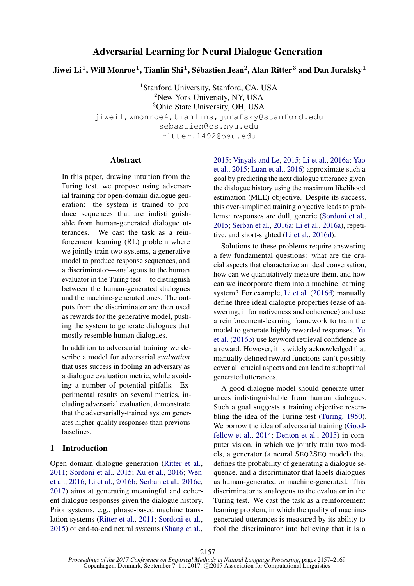# Adversarial Learning for Neural Dialogue Generation

Jiwei Li $^1$ , Will Monroe $^1$ , Tianlin Shi $^1$ , Sébastien Jean $^2$ , Alan Ritter $^3$  and Dan Jurafsky $^1$ 

<sup>1</sup>Stanford University, Stanford, CA, USA <sup>2</sup>New York University, NY, USA <sup>3</sup>Ohio State University, OH, USA jiweil,wmonroe4,tianlins,jurafsky@stanford.edu sebastien@cs.nyu.edu ritter.1492@osu.edu

## Abstract

In this paper, drawing intuition from the Turing test, we propose using adversarial training for open-domain dialogue generation: the system is trained to produce sequences that are indistinguishable from human-generated dialogue utterances. We cast the task as a reinforcement learning (RL) problem where we jointly train two systems, a generative model to produce response sequences, and a discriminator—analagous to the human evaluator in the Turing test— to distinguish between the human-generated dialogues and the machine-generated ones. The outputs from the discriminator are then used as rewards for the generative model, pushing the system to generate dialogues that mostly resemble human dialogues.

In addition to adversarial training we describe a model for adversarial *evaluation* that uses success in fooling an adversary as a dialogue evaluation metric, while avoiding a number of potential pitfalls. Experimental results on several metrics, including adversarial evaluation, demonstrate that the adversarially-trained system generates higher-quality responses than previous baselines.

#### 1 Introduction

Open domain dialogue generation (Ritter et al., 2011; Sordoni et al., 2015; Xu et al., 2016; Wen et al., 2016; Li et al., 2016b; Serban et al., 2016c, 2017) aims at generating meaningful and coherent dialogue responses given the dialogue history. Prior systems, e.g., phrase-based machine translation systems (Ritter et al., 2011; Sordoni et al., 2015) or end-to-end neural systems (Shang et al.,

2015; Vinyals and Le, 2015; Li et al., 2016a; Yao et al., 2015; Luan et al., 2016) approximate such a goal by predicting the next dialogue utterance given the dialogue history using the maximum likelihood estimation (MLE) objective. Despite its success, this over-simplified training objective leads to problems: responses are dull, generic (Sordoni et al., 2015; Serban et al., 2016a; Li et al., 2016a), repetitive, and short-sighted (Li et al., 2016d).

Solutions to these problems require answering a few fundamental questions: what are the crucial aspects that characterize an ideal conversation, how can we quantitatively measure them, and how can we incorporate them into a machine learning system? For example, Li et al. (2016d) manually define three ideal dialogue properties (ease of answering, informativeness and coherence) and use a reinforcement-learning framework to train the model to generate highly rewarded responses. Yu et al. (2016b) use keyword retrieval confidence as a reward. However, it is widely acknowledged that manually defined reward functions can't possibly cover all crucial aspects and can lead to suboptimal generated utterances.

A good dialogue model should generate utterances indistinguishable from human dialogues. Such a goal suggests a training objective resembling the idea of the Turing test (Turing, 1950). We borrow the idea of adversarial training (Goodfellow et al., 2014; Denton et al., 2015) in computer vision, in which we jointly train two models, a generator (a neural SEQ2SEQ model) that defines the probability of generating a dialogue sequence, and a discriminator that labels dialogues as human-generated or machine-generated. This discriminator is analogous to the evaluator in the Turing test. We cast the task as a reinforcement learning problem, in which the quality of machinegenerated utterances is measured by its ability to fool the discriminator into believing that it is a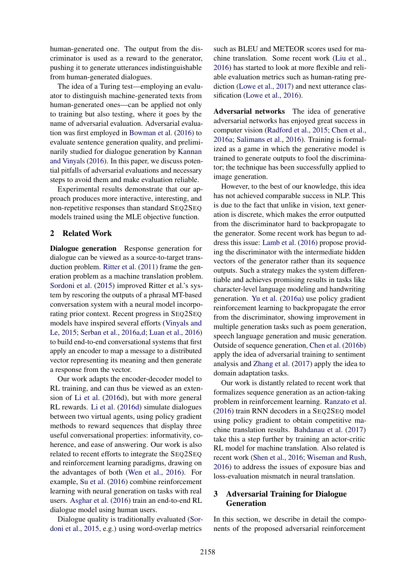human-generated one. The output from the discriminator is used as a reward to the generator, pushing it to generate utterances indistinguishable from human-generated dialogues.

The idea of a Turing test—employing an evaluator to distinguish machine-generated texts from human-generated ones—can be applied not only to training but also testing, where it goes by the name of adversarial evaluation. Adversarial evaluation was first employed in Bowman et al. (2016) to evaluate sentence generation quality, and preliminarily studied for dialogue generation by Kannan and Vinyals (2016). In this paper, we discuss potential pitfalls of adversarial evaluations and necessary steps to avoid them and make evaluation reliable.

Experimental results demonstrate that our approach produces more interactive, interesting, and non-repetitive responses than standard SEQ2SEQ models trained using the MLE objective function.

# 2 Related Work

Dialogue generation Response generation for dialogue can be viewed as a source-to-target transduction problem. Ritter et al. (2011) frame the generation problem as a machine translation problem. Sordoni et al. (2015) improved Ritter et al.'s system by rescoring the outputs of a phrasal MT-based conversation system with a neural model incorporating prior context. Recent progress in SEQ2SEQ models have inspired several efforts (Vinyals and Le, 2015; Serban et al., 2016a,d; Luan et al., 2016) to build end-to-end conversational systems that first apply an encoder to map a message to a distributed vector representing its meaning and then generate a response from the vector.

Our work adapts the encoder-decoder model to RL training, and can thus be viewed as an extension of Li et al. (2016d), but with more general RL rewards. Li et al. (2016d) simulate dialogues between two virtual agents, using policy gradient methods to reward sequences that display three useful conversational properties: informativity, coherence, and ease of answering. Our work is also related to recent efforts to integrate the SEQ2SEQ and reinforcement learning paradigms, drawing on the advantages of both (Wen et al., 2016). For example, Su et al. (2016) combine reinforcement learning with neural generation on tasks with real users. Asghar et al. (2016) train an end-to-end RL dialogue model using human users.

Dialogue quality is traditionally evaluated (Sordoni et al., 2015, e.g.) using word-overlap metrics

such as BLEU and METEOR scores used for machine translation. Some recent work (Liu et al., 2016) has started to look at more flexible and reliable evaluation metrics such as human-rating prediction (Lowe et al., 2017) and next utterance classification (Lowe et al., 2016).

Adversarial networks The idea of generative adversarial networks has enjoyed great success in computer vision (Radford et al., 2015; Chen et al., 2016a; Salimans et al., 2016). Training is formalized as a game in which the generative model is trained to generate outputs to fool the discriminator; the technique has been successfully applied to image generation.

However, to the best of our knowledge, this idea has not achieved comparable success in NLP. This is due to the fact that unlike in vision, text generation is discrete, which makes the error outputted from the discriminator hard to backpropagate to the generator. Some recent work has begun to address this issue: Lamb et al. (2016) propose providing the discriminator with the intermediate hidden vectors of the generator rather than its sequence outputs. Such a strategy makes the system differentiable and achieves promising results in tasks like character-level language modeling and handwriting generation. Yu et al. (2016a) use policy gradient reinforcement learning to backpropagate the error from the discriminator, showing improvement in multiple generation tasks such as poem generation, speech language generation and music generation. Outside of sequence generation, Chen et al. (2016b) apply the idea of adversarial training to sentiment analysis and Zhang et al. (2017) apply the idea to domain adaptation tasks.

Our work is distantly related to recent work that formalizes sequence generation as an action-taking problem in reinforcement learning. Ranzato et al. (2016) train RNN decoders in a SEQ2SEQ model using policy gradient to obtain competitive machine translation results. Bahdanau et al. (2017) take this a step further by training an actor-critic RL model for machine translation. Also related is recent work (Shen et al., 2016; Wiseman and Rush, 2016) to address the issues of exposure bias and loss-evaluation mismatch in neural translation.

# 3 Adversarial Training for Dialogue Generation

In this section, we describe in detail the components of the proposed adversarial reinforcement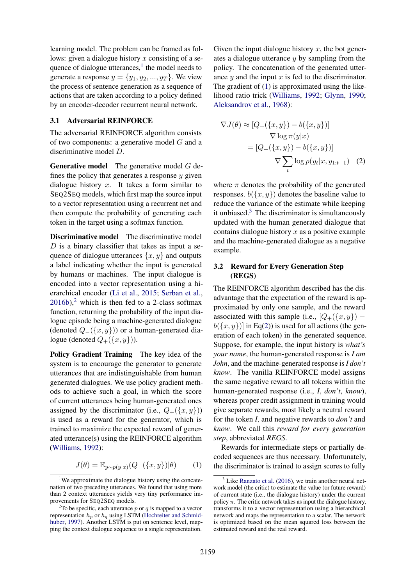learning model. The problem can be framed as follows: given a dialogue history x consisting of a sequence of dialogue utterances, $<sup>1</sup>$  the model needs to</sup> generate a response  $y = \{y_1, y_2, ..., y_T\}$ . We view the process of sentence generation as a sequence of actions that are taken according to a policy defined by an encoder-decoder recurrent neural network.

#### 3.1 Adversarial REINFORCE

The adversarial REINFORCE algorithm consists of two components: a generative model G and a discriminative model D.

Generative model The generative model G defines the policy that generates a response  $y$  given dialogue history  $x$ . It takes a form similar to SEQ2SEQ models, which first map the source input to a vector representation using a recurrent net and then compute the probability of generating each token in the target using a softmax function.

Discriminative model The discriminative model  $D$  is a binary classifier that takes as input a sequence of dialogue utterances  $\{x, y\}$  and outputs a label indicating whether the input is generated by humans or machines. The input dialogue is encoded into a vector representation using a hierarchical encoder (Li et al., 2015; Serban et al.,  $2016b$ ,<sup>2</sup> which is then fed to a 2-class softmax function, returning the probability of the input dialogue episode being a machine-generated dialogue (denoted  $Q_-(\{x,y\})$ ) or a human-generated dialogue (denoted  $Q_{+}(\lbrace x, y \rbrace)$ ).

Policy Gradient Training The key idea of the system is to encourage the generator to generate utterances that are indistinguishable from human generated dialogues. We use policy gradient methods to achieve such a goal, in which the score of current utterances being human-generated ones assigned by the discriminator (i.e.,  $Q_{+}(\lbrace x, y \rbrace)$ ) is used as a reward for the generator, which is trained to maximize the expected reward of generated utterance(s) using the REINFORCE algorithm (Williams, 1992):

$$
J(\theta) = \mathbb{E}_{y \sim p(y|x)}(Q_+(\{x, y\})|\theta)
$$
 (1)

Given the input dialogue history  $x$ , the bot generates a dialogue utterance  *by sampling from the* policy. The concatenation of the generated utterance  $y$  and the input  $x$  is fed to the discriminator. The gradient of (1) is approximated using the likelihood ratio trick (Williams, 1992; Glynn, 1990; Aleksandrov et al., 1968):

$$
\nabla J(\theta) \approx [Q_{+}(\{x, y\}) - b(\{x, y\})]
$$

$$
\nabla \log \pi(y|x)
$$

$$
= [Q_{+}(\{x, y\}) - b(\{x, y\})]
$$

$$
\nabla \sum_{t} \log p(y_t|x, y_{1:t-1}) \quad (2)
$$

where  $\pi$  denotes the probability of the generated responses.  $b({x, y})$  denotes the baseline value to reduce the variance of the estimate while keeping it unbiased. $3$  The discriminator is simultaneously updated with the human generated dialogue that contains dialogue history  $x$  as a positive example and the machine-generated dialogue as a negative example.

## 3.2 Reward for Every Generation Step (REGS)

The REINFORCE algorithm described has the disadvantage that the expectation of the reward is approximated by only one sample, and the reward associated with this sample (i.e.,  $[Q_{+}(\{x, y\})$  $b({x, y})$  in Eq(2)) is used for all actions (the generation of each token) in the generated sequence. Suppose, for example, the input history is *what's your name*, the human-generated response is *I am John*, and the machine-generated response is *I don't know*. The vanilla REINFORCE model assigns the same negative reward to all tokens within the human-generated response (i.e., *I*, *don't*, *know*), whereas proper credit assignment in training would give separate rewards, most likely a neutral reward for the token *I*, and negative rewards to *don't* and *know*. We call this *reward for every generation step*, abbreviated *REGS*.

Rewards for intermediate steps or partially decoded sequences are thus necessary. Unfortunately, the discriminator is trained to assign scores to fully

<sup>&</sup>lt;sup>1</sup>We approximate the dialogue history using the concatenation of two preceding utterances. We found that using more than 2 context utterances yields very tiny performance improvements for SEQ2SEQ models.

<sup>&</sup>lt;sup>2</sup>To be specific, each utterance  $p$  or  $q$  is mapped to a vector representation  $h_p$  or  $h_q$  using LSTM (Hochreiter and Schmidhuber, 1997). Another LSTM is put on sentence level, mapping the context dialogue sequence to a single representation.

 $3$  Like Ranzato et al. (2016), we train another neural network model (the critic) to estimate the value (or future reward) of current state (i.e., the dialogue history) under the current policy  $\pi$ . The critic network takes as input the dialogue history, transforms it to a vector representation using a hierarchical network and maps the representation to a scalar. The network is optimized based on the mean squared loss between the estimated reward and the real reward.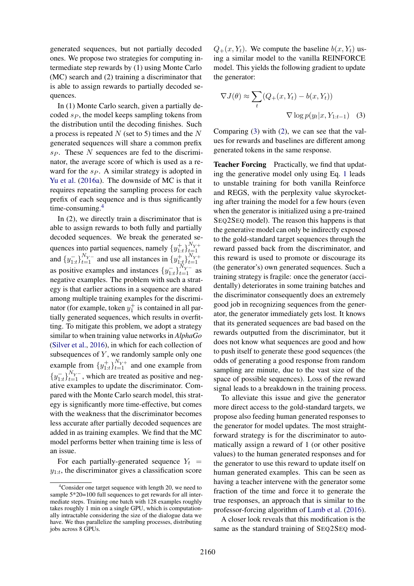generated sequences, but not partially decoded ones. We propose two strategies for computing intermediate step rewards by (1) using Monte Carlo (MC) search and (2) training a discriminator that is able to assign rewards to partially decoded sequences.

In (1) Monte Carlo search, given a partially decoded  $s_P$ , the model keeps sampling tokens from the distribution until the decoding finishes. Such a process is repeated  $N$  (set to 5) times and the  $N$ generated sequences will share a common prefix  $s_P$ . These N sequences are fed to the discriminator, the average score of which is used as a reward for the  $s_P$ . A similar strategy is adopted in Yu et al. (2016a). The downside of MC is that it requires repeating the sampling process for each prefix of each sequence and is thus significantly time-consuming.<sup>4</sup>

In (2), we directly train a discriminator that is able to assign rewards to both fully and partially decoded sequences. We break the generated sequences into partial sequences, namely  $\{y_{1:t}^+\}_{t=1}^{N_Y+}$ and  $\{y_{1:t}^-\}_{t=1}^{N_{Y^-}}$  and use all instances in  $\{y_{1:t}^+\}_{t=1}^{N_{Y^+}}$ as positive examples and instances  $\{y_{1:t}^-\}_{t=1}^{N_Y-}$  as negative examples. The problem with such a strategy is that earlier actions in a sequence are shared among multiple training examples for the discriminator (for example, token  $y_1^+$  is contained in all partially generated sequences, which results in overfitting. To mitigate this problem, we adopt a strategy similar to when training value networks in *AlphaGo* (Silver et al., 2016), in which for each collection of subsequences of  $Y$ , we randomly sample only one example from  $\{y_{1:t}^+\}_{t=1}^{N_{Y^+}}$  and one example from  ${y_{1:t}}^{\top}$  $}_{t=1}^{N_Y-}$ , which are treated as positive and negative examples to update the discriminator. Compared with the Monte Carlo search model, this strategy is significantly more time-effective, but comes with the weakness that the discriminator becomes less accurate after partially decoded sequences are added in as training examples. We find that the MC model performs better when training time is less of an issue.

For each partially-generated sequence  $Y_t$  =  $y_{1:t}$ , the discriminator gives a classification score  $Q_+(x, Y_t)$ . We compute the baseline  $b(x, Y_t)$  using a similar model to the vanilla REINFORCE model. This yields the following gradient to update the generator:

$$
\nabla J(\theta) \approx \sum_{t} (Q_{+}(x, Y_{t}) - b(x, Y_{t}))
$$

$$
\nabla \log p(y_{t}|x, Y_{1:t-1}) \quad (3)
$$

Comparing (3) with (2), we can see that the values for rewards and baselines are different among generated tokens in the same response.

Teacher Forcing Practically, we find that updating the generative model only using Eq. 1 leads to unstable training for both vanilla Reinforce and REGS, with the perplexity value skyrocketing after training the model for a few hours (even when the generator is initialized using a pre-trained SEQ2SEQ model). The reason this happens is that the generative model can only be indirectly exposed to the gold-standard target sequences through the reward passed back from the discriminator, and this reward is used to promote or discourage its (the generator's) own generated sequences. Such a training strategy is fragile: once the generator (accidentally) deteriorates in some training batches and the discriminator consequently does an extremely good job in recognizing sequences from the generator, the generator immediately gets lost. It knows that its generated sequences are bad based on the rewards outputted from the discriminator, but it does not know what sequences are good and how to push itself to generate these good sequences (the odds of generating a good response from random sampling are minute, due to the vast size of the space of possible sequences). Loss of the reward signal leads to a breakdown in the training process.

To alleviate this issue and give the generator more direct access to the gold-standard targets, we propose also feeding human generated responses to the generator for model updates. The most straightforward strategy is for the discriminator to automatically assign a reward of 1 (or other positive values) to the human generated responses and for the generator to use this reward to update itself on human generated examples. This can be seen as having a teacher intervene with the generator some fraction of the time and force it to generate the true responses, an approach that is similar to the professor-forcing algorithm of Lamb et al. (2016).

A closer look reveals that this modification is the same as the standard training of SEQ2SEQ mod-

 $4$ Consider one target sequence with length 20, we need to sample 5\*20=100 full sequences to get rewards for all intermediate steps. Training one batch with 128 examples roughly takes roughly 1 min on a single GPU, which is computationally intractable considering the size of the dialogue data we have. We thus parallelize the sampling processes, distributing jobs across 8 GPUs.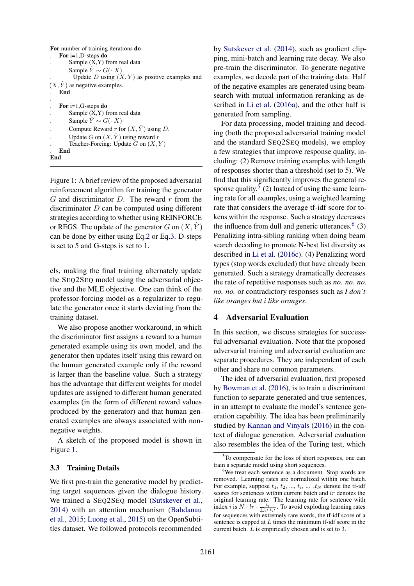```
For number of training iterations do
   For i=1,D-steps do
        Sample (X,Y) from real data
        Sample \ddot{Y} \sim G(\cdot | X)Update D using (X, Y) as positive examples and
(X, \hat{Y}) as negative examples.
   . End
.
   For i=1,G-steps do
        Sample (X, Y) from real data
        Sample \hat{Y} \sim G(\cdot | X)Compute Reward r for (X, \hat{Y}) using D.
        Update G on (X, \hat{Y}) using reward r
        Teacher-Forcing: Update G on (X, Y). End
End
```
Figure 1: A brief review of the proposed adversarial reinforcement algorithm for training the generator  $G$  and discriminator  $D$ . The reward  $r$  from the discriminator D can be computed using different strategies according to whether using REINFORCE or REGS. The update of the generator G on  $(X, \hat{Y})$ can be done by either using Eq.2 or Eq.3. D-steps is set to 5 and G-steps is set to 1.

els, making the final training alternately update the SEQ2SEQ model using the adversarial objective and the MLE objective. One can think of the professor-forcing model as a regularizer to regulate the generator once it starts deviating from the training dataset.

We also propose another workaround, in which the discriminator first assigns a reward to a human generated example using its own model, and the generator then updates itself using this reward on the human generated example only if the reward is larger than the baseline value. Such a strategy has the advantage that different weights for model updates are assigned to different human generated examples (in the form of different reward values produced by the generator) and that human generated examples are always associated with nonnegative weights.

A sketch of the proposed model is shown in Figure 1.

#### 3.3 Training Details

We first pre-train the generative model by predicting target sequences given the dialogue history. We trained a SEQ2SEQ model (Sutskever et al., 2014) with an attention mechanism (Bahdanau et al., 2015; Luong et al., 2015) on the OpenSubtitles dataset. We followed protocols recommended

by Sutskever et al. (2014), such as gradient clipping, mini-batch and learning rate decay. We also pre-train the discriminator. To generate negative examples, we decode part of the training data. Half of the negative examples are generated using beamsearch with mutual information reranking as described in Li et al. (2016a), and the other half is generated from sampling.

For data processing, model training and decoding (both the proposed adversarial training model and the standard SEO2SEO models), we employ a few strategies that improve response quality, including: (2) Remove training examples with length of responses shorter than a threshold (set to 5). We find that this significantly improves the general response quality.<sup>5</sup> (2) Instead of using the same learning rate for all examples, using a weighted learning rate that considers the average tf-idf score for tokens within the response. Such a strategy decreases the influence from dull and generic utterances. $<sup>6</sup>$  (3)</sup> Penalizing intra-sibling ranking when doing beam search decoding to promote N-best list diversity as described in Li et al. (2016c). (4) Penalizing word types (stop words excluded) that have already been generated. Such a strategy dramatically decreases the rate of repetitive responses such as *no. no. no. no. no.* or contradictory responses such as *I don't like oranges but i like oranges*.

# 4 Adversarial Evaluation

In this section, we discuss strategies for successful adversarial evaluation. Note that the proposed adversarial training and adversarial evaluation are separate procedures. They are independent of each other and share no common parameters.

The idea of adversarial evaluation, first proposed by Bowman et al. (2016), is to train a discriminant function to separate generated and true sentences, in an attempt to evaluate the model's sentence generation capability. The idea has been preliminarily studied by Kannan and Vinyals (2016) in the context of dialogue generation. Adversarial evaluation also resembles the idea of the Turing test, which

<sup>&</sup>lt;sup>5</sup>To compensate for the loss of short responses, one can train a separate model using short sequences.

<sup>&</sup>lt;sup>6</sup>We treat each sentence as a document. Stop words are removed. Learning rates are normalized within one batch. For example, suppose  $t_1, t_2, ..., t_i, ..., t_N$  denote the tf-idf scores for sentences within current batch and lr denotes the original learning rate. The learning rate for sentence with index *i* is  $N \cdot lr \cdot \frac{t_i}{\sum_{i'} t_{i'}}$ . To avoid exploding learning rates for sequences with extremely rare words, the tf-idf score of a sentence is capped at  $L$  times the minimum tf-idf score in the current batch.  $\tilde{L}$  is empirically chosen and is set to 3.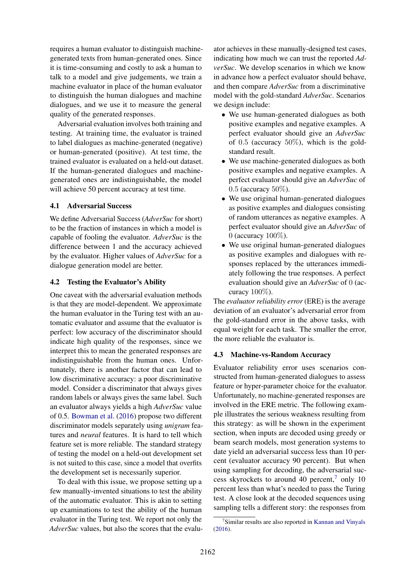requires a human evaluator to distinguish machinegenerated texts from human-generated ones. Since it is time-consuming and costly to ask a human to talk to a model and give judgements, we train a machine evaluator in place of the human evaluator to distinguish the human dialogues and machine dialogues, and we use it to measure the general quality of the generated responses.

Adversarial evaluation involves both training and testing. At training time, the evaluator is trained to label dialogues as machine-generated (negative) or human-generated (positive). At test time, the trained evaluator is evaluated on a held-out dataset. If the human-generated dialogues and machinegenerated ones are indistinguishable, the model will achieve 50 percent accuracy at test time.

#### 4.1 Adversarial Success

We define Adversarial Success (*AdverSuc* for short) to be the fraction of instances in which a model is capable of fooling the evaluator. *AdverSuc* is the difference between 1 and the accuracy achieved by the evaluator. Higher values of *AdverSuc* for a dialogue generation model are better.

## 4.2 Testing the Evaluator's Ability

One caveat with the adversarial evaluation methods is that they are model-dependent. We approximate the human evaluator in the Turing test with an automatic evaluator and assume that the evaluator is perfect: low accuracy of the discriminator should indicate high quality of the responses, since we interpret this to mean the generated responses are indistinguishable from the human ones. Unfortunately, there is another factor that can lead to low discriminative accuracy: a poor discriminative model. Consider a discriminator that always gives random labels or always gives the same label. Such an evaluator always yields a high *AdverSuc* value of 0.5. Bowman et al. (2016) propose two different discriminator models separately using *unigram* features and *neural* features. It is hard to tell which feature set is more reliable. The standard strategy of testing the model on a held-out development set is not suited to this case, since a model that overfits the development set is necessarily superior.

To deal with this issue, we propose setting up a few manually-invented situations to test the ability of the automatic evaluator. This is akin to setting up examinations to test the ability of the human evaluator in the Turing test. We report not only the *AdverSuc* values, but also the scores that the evalu-

ator achieves in these manually-designed test cases, indicating how much we can trust the reported *AdverSuc*. We develop scenarios in which we know in advance how a perfect evaluator should behave, and then compare *AdverSuc* from a discriminative model with the gold-standard *AdverSuc*. Scenarios we design include:

- We use human-generated dialogues as both positive examples and negative examples. A perfect evaluator should give an *AdverSuc* of  $0.5$  (accuracy  $50\%$ ), which is the goldstandard result.
- We use machine-generated dialogues as both positive examples and negative examples. A perfect evaluator should give an *AdverSuc* of 0.5 (accuracy 50%).
- We use original human-generated dialogues as positive examples and dialogues consisting of random utterances as negative examples. A perfect evaluator should give an *AdverSuc* of 0 (accuracy 100%).
- We use original human-generated dialogues as positive examples and dialogues with responses replaced by the utterances immediately following the true responses. A perfect evaluation should give an *AdverSuc* of 0 (accuracy  $100\%$ ).

The *evaluator reliability error* (ERE) is the average deviation of an evaluator's adversarial error from the gold-standard error in the above tasks, with equal weight for each task. The smaller the error, the more reliable the evaluator is.

#### 4.3 Machine-vs-Random Accuracy

Evaluator reliability error uses scenarios constructed from human-generated dialogues to assess feature or hyper-parameter choice for the evaluator. Unfortunately, no machine-generated responses are involved in the ERE metric. The following example illustrates the serious weakness resulting from this strategy: as will be shown in the experiment section, when inputs are decoded using greedy or beam search models, most generation systems to date yield an adversarial success less than 10 percent (evaluator accuracy 90 percent). But when using sampling for decoding, the adversarial success skyrockets to around 40 percent, $7$  only 10 percent less than what's needed to pass the Turing test. A close look at the decoded sequences using sampling tells a different story: the responses from

<sup>&</sup>lt;sup>7</sup>Similar results are also reported in Kannan and Vinyals (2016).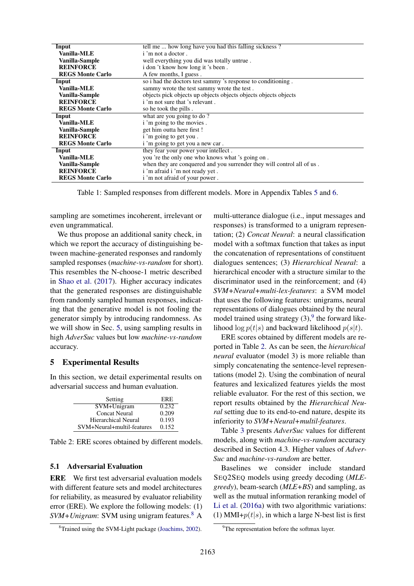| Input                   | tell me  how long have you had this falling sickness?                  |
|-------------------------|------------------------------------------------------------------------|
| <b>Vanilla-MLE</b>      | i 'm not a doctor.                                                     |
| Vanilla-Sample          | well everything you did was totally untrue.                            |
| <b>REINFORCE</b>        | i don't know how long it's been.                                       |
| <b>REGS Monte Carlo</b> | A few months, I guess.                                                 |
| Input                   | so i had the doctors test sammy 's response to conditioning.           |
| Vanilla-MLE             | sammy wrote the test sammy wrote the test.                             |
| Vanilla-Sample          | objects pick objects up objects objects objects objects objects        |
| <b>REINFORCE</b>        | i 'm not sure that 's relevant.                                        |
| <b>REGS Monte Carlo</b> | so he took the pills.                                                  |
| Input                   | what are you going to do?                                              |
| Vanilla-MLE             | i 'm going to the movies.                                              |
| Vanilla-Sample          | get him outta here first !                                             |
| <b>REINFORCE</b>        | i 'm going to get you.                                                 |
| <b>REGS Monte Carlo</b> | i'm going to get you a new car.                                        |
| Input                   | they fear your power your intellect.                                   |
| Vanilla-MLE             | you 're the only one who knows what 's going on.                       |
| Vanilla-Sample          | when they are conquered and you surrender they will control all of us. |
| <b>REINFORCE</b>        | i 'm afraid i 'm not ready yet.                                        |
| <b>REGS Monte Carlo</b> | i 'm not afraid of your power.                                         |

Table 1: Sampled responses from different models. More in Appendix Tables 5 and 6.

sampling are sometimes incoherent, irrelevant or even ungrammatical.

We thus propose an additional sanity check, in which we report the accuracy of distinguishing between machine-generated responses and randomly sampled responses (*machine-vs-random* for short). This resembles the N-choose-1 metric described in Shao et al. (2017). Higher accuracy indicates that the generated responses are distinguishable from randomly sampled human responses, indicating that the generative model is not fooling the generator simply by introducing randomness. As we will show in Sec. 5, using sampling results in high *AdverSuc* values but low *machine-vs-random* accuracy.

#### 5 Experimental Results

In this section, we detail experimental results on adversarial success and human evaluation.

| Setting                    | ERE.  |
|----------------------------|-------|
| SVM+Unigram                | 0.232 |
| <b>Concat Neural</b>       | 0.209 |
| <b>Hierarchical Neural</b> | 0.193 |
| SVM+Neural+multil-features | 0.152 |

Table 2: ERE scores obtained by different models.

#### 5.1 Adversarial Evaluation

ERE We first test adversarial evaluation models with different feature sets and model architectures for reliability, as measured by evaluator reliability error (ERE). We explore the following models: (1) *SVM+Unigram*: SVM using unigram features.<sup>8</sup> A multi-utterance dialogue (i.e., input messages and responses) is transformed to a unigram representation; (2) *Concat Neural*: a neural classification model with a softmax function that takes as input the concatenation of representations of constituent dialogues sentences; (3) *Hierarchical Neural*: a hierarchical encoder with a structure similar to the discriminator used in the reinforcement; and (4) *SVM+Neural+multi-lex-features*: a SVM model that uses the following features: unigrams, neural representations of dialogues obtained by the neural model trained using strategy  $(3)$ , the forward likelihood  $\log p(t|s)$  and backward likelihood  $p(s|t)$ .

ERE scores obtained by different models are reported in Table 2. As can be seen, the *hierarchical neural* evaluator (model 3) is more reliable than simply concatenating the sentence-level representations (model 2). Using the combination of neural features and lexicalized features yields the most reliable evaluator. For the rest of this section, we report results obtained by the *Hierarchical Neural* setting due to its end-to-end nature, despite its inferiority to *SVM+Neural+multil-features*.

Table 3 presents *AdverSuc* values for different models, along with *machine-vs-random* accuracy described in Section 4.3. Higher values of *Adver-Suc* and *machine-vs-random* are better.

Baselines we consider include standard SEQ2SEQ models using greedy decoding (*MLEgreedy*), beam-search (*MLE+BS*) and sampling, as well as the mutual information reranking model of Li et al. (2016a) with two algorithmic variations: (1) MMI+ $p(t|s)$ , in which a large N-best list is first

<sup>8</sup>Trained using the SVM-Light package (Joachims, 2002).

<sup>&</sup>lt;sup>9</sup>The representation before the softmax layer.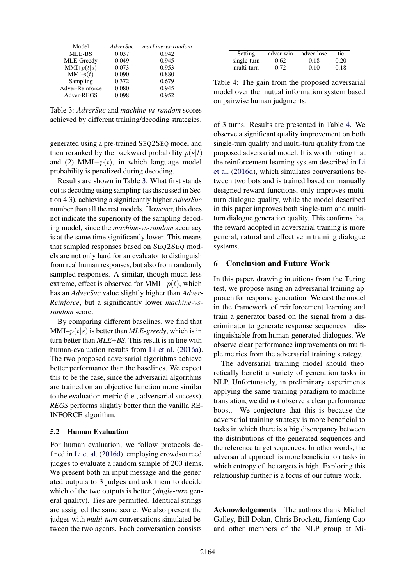| Model           | AdverSuc | machine-vs-random |
|-----------------|----------|-------------------|
| MLE-BS          | 0.037    | 0.942             |
| MLE-Greedy      | 0.049    | 0.945             |
| $MMI+p(t s)$    | 0.073    | 0.953             |
| $MMI-p(t)$      | 0.090    | 0.880             |
| Sampling        | 0.372    | 0.679             |
| Adver-Reinforce | 0.080    | 0.945             |
| Adver-REGS      | 0.098    | 0.952             |

Table 3: *AdverSuc* and *machine-vs-random* scores achieved by different training/decoding strategies.

generated using a pre-trained SEQ2SEQ model and then reranked by the backward probability  $p(s|t)$ and (2) MMI $-p(t)$ , in which language model probability is penalized during decoding.

Results are shown in Table 3. What first stands out is decoding using sampling (as discussed in Section 4.3), achieving a significantly higher *AdverSuc* number than all the rest models. However, this does not indicate the superiority of the sampling decoding model, since the *machine-vs-random* accuracy is at the same time significantly lower. This means that sampled responses based on SEQ2SEQ models are not only hard for an evaluator to distinguish from real human responses, but also from randomly sampled responses. A similar, though much less extreme, effect is observed for MMI $-p(t)$ , which has an *AdverSuc* value slightly higher than *Adver-Reinforce*, but a significantly lower *machine-vsrandom* score.

By comparing different baselines, we find that  $MMI+p(t|s)$  is better than  $MLE$ -greedy, which is in turn better than *MLE+BS*. This result is in line with human-evaluation results from Li et al. (2016a). The two proposed adversarial algorithms achieve better performance than the baselines. We expect this to be the case, since the adversarial algorithms are trained on an objective function more similar to the evaluation metric (i.e., adversarial success). *REGS* performs slightly better than the vanilla RE-INFORCE algorithm.

#### 5.2 Human Evaluation

For human evaluation, we follow protocols defined in Li et al. (2016d), employing crowdsourced judges to evaluate a random sample of 200 items. We present both an input message and the generated outputs to 3 judges and ask them to decide which of the two outputs is better (*single-turn* general quality). Ties are permitted. Identical strings are assigned the same score. We also present the judges with *multi-turn* conversations simulated between the two agents. Each conversation consists

| Setting     | adver-win | adver-lose | tie. |
|-------------|-----------|------------|------|
| single-turn | 0.62      | 0.18       | 0.20 |
| multi-turn  | 0.72      | 0.10       | 0.18 |

Table 4: The gain from the proposed adversarial model over the mutual information system based on pairwise human judgments.

of 3 turns. Results are presented in Table 4. We observe a significant quality improvement on both single-turn quality and multi-turn quality from the proposed adversarial model. It is worth noting that the reinforcement learning system described in Li et al. (2016d), which simulates conversations between two bots and is trained based on manually designed reward functions, only improves multiturn dialogue quality, while the model described in this paper improves both single-turn and multiturn dialogue generation quality. This confirms that the reward adopted in adversarial training is more general, natural and effective in training dialogue systems.

## 6 Conclusion and Future Work

In this paper, drawing intuitions from the Turing test, we propose using an adversarial training approach for response generation. We cast the model in the framework of reinforcement learning and train a generator based on the signal from a discriminator to generate response sequences indistinguishable from human-generated dialogues. We observe clear performance improvements on multiple metrics from the adversarial training strategy.

The adversarial training model should theoretically benefit a variety of generation tasks in NLP. Unfortunately, in preliminary experiments applying the same training paradigm to machine translation, we did not observe a clear performance boost. We conjecture that this is because the adversarial training strategy is more beneficial to tasks in which there is a big discrepancy between the distributions of the generated sequences and the reference target sequences. In other words, the adversarial approach is more beneficial on tasks in which entropy of the targets is high. Exploring this relationship further is a focus of our future work.

Acknowledgements The authors thank Michel Galley, Bill Dolan, Chris Brockett, Jianfeng Gao and other members of the NLP group at Mi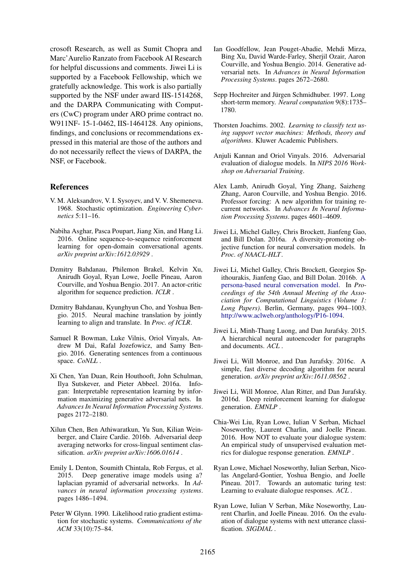crosoft Research, as well as Sumit Chopra and Marc'Aurelio Ranzato from Facebook AI Research for helpful discussions and comments. Jiwei Li is supported by a Facebook Fellowship, which we gratefully acknowledge. This work is also partially supported by the NSF under award IIS-1514268, and the DARPA Communicating with Computers (CwC) program under ARO prime contract no. W911NF- 15-1-0462, IIS-1464128. Any opinions, findings, and conclusions or recommendations expressed in this material are those of the authors and do not necessarily reflect the views of DARPA, the NSF, or Facebook.

#### References

- V. M. Aleksandrov, V. I. Sysoyev, and V. V. Shemeneva. 1968. Stochastic optimization. *Engineering Cybernetics* 5:11–16.
- Nabiha Asghar, Pasca Poupart, Jiang Xin, and Hang Li. 2016. Online sequence-to-sequence reinforcement learning for open-domain conversational agents. *arXiv preprint arXiv:1612.03929* .
- Dzmitry Bahdanau, Philemon Brakel, Kelvin Xu, Anirudh Goyal, Ryan Lowe, Joelle Pineau, Aaron Courville, and Yoshua Bengio. 2017. An actor-critic algorithm for sequence prediction. *ICLR* .
- Dzmitry Bahdanau, Kyunghyun Cho, and Yoshua Bengio. 2015. Neural machine translation by jointly learning to align and translate. In *Proc. of ICLR*.
- Samuel R Bowman, Luke Vilnis, Oriol Vinyals, Andrew M Dai, Rafal Jozefowicz, and Samy Bengio. 2016. Generating sentences from a continuous space. *CoNLL* .
- Xi Chen, Yan Duan, Rein Houthooft, John Schulman, Ilya Sutskever, and Pieter Abbeel. 2016a. Infogan: Interpretable representation learning by information maximizing generative adversarial nets. In *Advances In Neural Information Processing Systems*. pages 2172–2180.
- Xilun Chen, Ben Athiwaratkun, Yu Sun, Kilian Weinberger, and Claire Cardie. 2016b. Adversarial deep averaging networks for cross-lingual sentiment classification. *arXiv preprint arXiv:1606.01614* .
- Emily L Denton, Soumith Chintala, Rob Fergus, et al. 2015. Deep generative image models using a? laplacian pyramid of adversarial networks. In *Advances in neural information processing systems*. pages 1486–1494.
- Peter W Glynn. 1990. Likelihood ratio gradient estimation for stochastic systems. *Communications of the ACM* 33(10):75–84.
- Ian Goodfellow, Jean Pouget-Abadie, Mehdi Mirza, Bing Xu, David Warde-Farley, Sherjil Ozair, Aaron Courville, and Yoshua Bengio. 2014. Generative adversarial nets. In *Advances in Neural Information Processing Systems*. pages 2672–2680.
- Sepp Hochreiter and Jürgen Schmidhuber. 1997. Long short-term memory. *Neural computation* 9(8):1735– 1780.
- Thorsten Joachims. 2002. *Learning to classify text using support vector machines: Methods, theory and algorithms*. Kluwer Academic Publishers.
- Anjuli Kannan and Oriol Vinyals. 2016. Adversarial evaluation of dialogue models. In *NIPS 2016 Workshop on Adversarial Training*.
- Alex Lamb, Anirudh Goyal, Ying Zhang, Saizheng Zhang, Aaron Courville, and Yoshua Bengio. 2016. Professor forcing: A new algorithm for training recurrent networks. In *Advances In Neural Information Processing Systems*. pages 4601–4609.
- Jiwei Li, Michel Galley, Chris Brockett, Jianfeng Gao, and Bill Dolan. 2016a. A diversity-promoting objective function for neural conversation models. In *Proc. of NAACL-HLT*.
- Jiwei Li, Michel Galley, Chris Brockett, Georgios Spithourakis, Jianfeng Gao, and Bill Dolan. 2016b. A persona-based neural conversation model. In *Proceedings of the 54th Annual Meeting of the Association for Computational Linguistics (Volume 1: Long Papers)*. Berlin, Germany, pages 994–1003. http://www.aclweb.org/anthology/P16-1094.
- Jiwei Li, Minh-Thang Luong, and Dan Jurafsky. 2015. A hierarchical neural autoencoder for paragraphs and documents. *ACL* .
- Jiwei Li, Will Monroe, and Dan Jurafsky. 2016c. A simple, fast diverse decoding algorithm for neural generation. *arXiv preprint arXiv:1611.08562* .
- Jiwei Li, Will Monroe, Alan Ritter, and Dan Jurafsky. 2016d. Deep reinforcement learning for dialogue generation. *EMNLP* .
- Chia-Wei Liu, Ryan Lowe, Iulian V Serban, Michael Noseworthy, Laurent Charlin, and Joelle Pineau. 2016. How NOT to evaluate your dialogue system: An empirical study of unsupervised evaluation metrics for dialogue response generation. *EMNLP* .
- Ryan Lowe, Michael Noseworthy, Iulian Serban, Nicolas Angelard-Gontier, Yoshua Bengio, and Joelle Pineau. 2017. Towards an automatic turing test: Learning to evaluate dialogue responses. *ACL* .
- Ryan Lowe, Iulian V Serban, Mike Noseworthy, Laurent Charlin, and Joelle Pineau. 2016. On the evaluation of dialogue systems with next utterance classification. *SIGDIAL* .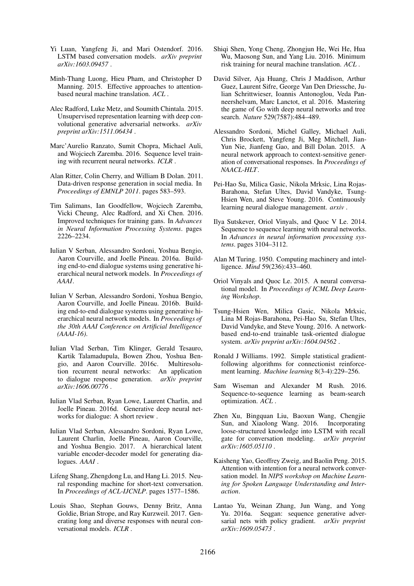- Yi Luan, Yangfeng Ji, and Mari Ostendorf. 2016. LSTM based conversation models. *arXiv preprint arXiv:1603.09457* .
- Minh-Thang Luong, Hieu Pham, and Christopher D Manning. 2015. Effective approaches to attentionbased neural machine translation. *ACL* .
- Alec Radford, Luke Metz, and Soumith Chintala. 2015. Unsupervised representation learning with deep convolutional generative adversarial networks. *arXiv preprint arXiv:1511.06434* .
- Marc'Aurelio Ranzato, Sumit Chopra, Michael Auli, and Wojciech Zaremba. 2016. Sequence level training with recurrent neural networks. *ICLR* .
- Alan Ritter, Colin Cherry, and William B Dolan. 2011. Data-driven response generation in social media. In *Proceedings of EMNLP 2011*. pages 583–593.
- Tim Salimans, Ian Goodfellow, Wojciech Zaremba, Vicki Cheung, Alec Radford, and Xi Chen. 2016. Improved techniques for training gans. In *Advances in Neural Information Processing Systems*. pages 2226–2234.
- Iulian V Serban, Alessandro Sordoni, Yoshua Bengio, Aaron Courville, and Joelle Pineau. 2016a. Building end-to-end dialogue systems using generative hierarchical neural network models. In *Proceedings of AAAI*.
- Iulian V Serban, Alessandro Sordoni, Yoshua Bengio, Aaron Courville, and Joelle Pineau. 2016b. Building end-to-end dialogue systems using generative hierarchical neural network models. In *Proceedings of the 30th AAAI Conference on Artificial Intelligence (AAAI-16)*.
- Iulian Vlad Serban, Tim Klinger, Gerald Tesauro, Kartik Talamadupula, Bowen Zhou, Yoshua Bengio, and Aaron Courville. 2016c. Multiresolution recurrent neural networks: An application to dialogue response generation. *arXiv preprint arXiv:1606.00776* .
- Iulian Vlad Serban, Ryan Lowe, Laurent Charlin, and Joelle Pineau. 2016d. Generative deep neural networks for dialogue: A short review .
- Iulian Vlad Serban, Alessandro Sordoni, Ryan Lowe, Laurent Charlin, Joelle Pineau, Aaron Courville, and Yoshua Bengio. 2017. A hierarchical latent variable encoder-decoder model for generating dialogues. *AAAI* .
- Lifeng Shang, Zhengdong Lu, and Hang Li. 2015. Neural responding machine for short-text conversation. In *Proceedings of ACL-IJCNLP*. pages 1577–1586.
- Louis Shao, Stephan Gouws, Denny Britz, Anna Goldie, Brian Strope, and Ray Kurzweil. 2017. Generating long and diverse responses with neural conversational models. *ICLR* .
- Shiqi Shen, Yong Cheng, Zhongjun He, Wei He, Hua Wu, Maosong Sun, and Yang Liu. 2016. Minimum risk training for neural machine translation. *ACL* .
- David Silver, Aja Huang, Chris J Maddison, Arthur Guez, Laurent Sifre, George Van Den Driessche, Julian Schrittwieser, Ioannis Antonoglou, Veda Panneershelvam, Marc Lanctot, et al. 2016. Mastering the game of Go with deep neural networks and tree search. *Nature* 529(7587):484–489.
- Alessandro Sordoni, Michel Galley, Michael Auli, Chris Brockett, Yangfeng Ji, Meg Mitchell, Jian-Yun Nie, Jianfeng Gao, and Bill Dolan. 2015. A neural network approach to context-sensitive generation of conversational responses. In *Proceedings of NAACL-HLT*.
- Pei-Hao Su, Milica Gasic, Nikola Mrksic, Lina Rojas-Barahona, Stefan Ultes, David Vandyke, Tsung-Hsien Wen, and Steve Young. 2016. Continuously learning neural dialogue management. *arxiv* .
- Ilya Sutskever, Oriol Vinyals, and Quoc V Le. 2014. Sequence to sequence learning with neural networks. In *Advances in neural information processing systems*. pages 3104–3112.
- Alan M Turing. 1950. Computing machinery and intelligence. *Mind* 59(236):433–460.
- Oriol Vinyals and Quoc Le. 2015. A neural conversational model. In *Proceedings of ICML Deep Learning Workshop*.
- Tsung-Hsien Wen, Milica Gasic, Nikola Mrksic, Lina M Rojas-Barahona, Pei-Hao Su, Stefan Ultes, David Vandyke, and Steve Young. 2016. A networkbased end-to-end trainable task-oriented dialogue system. *arXiv preprint arXiv:1604.04562* .
- Ronald J Williams. 1992. Simple statistical gradientfollowing algorithms for connectionist reinforcement learning. *Machine learning* 8(3-4):229–256.
- Sam Wiseman and Alexander M Rush. 2016. Sequence-to-sequence learning as beam-search optimization. *ACL* .
- Zhen Xu, Bingquan Liu, Baoxun Wang, Chengjie Sun, and Xiaolong Wang. 2016. Incorporating loose-structured knowledge into LSTM with recall gate for conversation modeling. *arXiv preprint arXiv:1605.05110* .
- Kaisheng Yao, Geoffrey Zweig, and Baolin Peng. 2015. Attention with intention for a neural network conversation model. In *NIPS workshop on Machine Learning for Spoken Language Understanding and Interaction*.
- Lantao Yu, Weinan Zhang, Jun Wang, and Yong Yu. 2016a. Seqgan: sequence generative adversarial nets with policy gradient. *arXiv preprint arXiv:1609.05473* .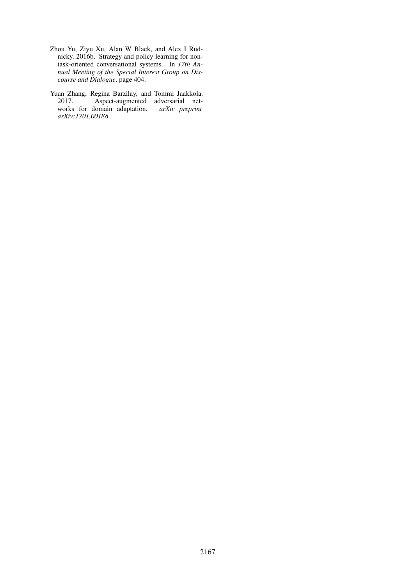- Zhou Yu, Ziyu Xu, Alan W Black, and Alex I Rudnicky. 2016b. Strategy and policy learning for nontask-oriented conversational systems. In *17th Annual Meeting of the Special Interest Group on Discourse and Dialogue*. page 404.
- Yuan Zhang, Regina Barzilay, and Tommi Jaakkola. 2017. Aspect-augmented adversarial networks for domain adaptation. *arXiv preprint arXiv:1701.00188* .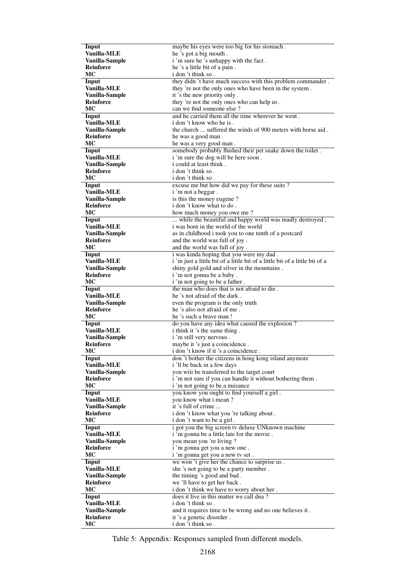| Input              | maybe his eyes were too big for his stomach.                                |
|--------------------|-----------------------------------------------------------------------------|
| Vanilla-MLE        | he 's got a big mouth.                                                      |
| Vanilla-Sample     | i'm sure he's unhappy with the fact.                                        |
| Reinforce          | he 's a little bit of a pain.                                               |
| МC                 | i don 't think so.                                                          |
|                    |                                                                             |
| Input              | they didn't have much success with this problem commander.                  |
| Vanilla-MLE        | they 're not the only ones who have been in the system.                     |
| Vanilla-Sample     | it 's the new priority only.                                                |
| <b>Reinforce</b>   | they 're not the only ones who can help us.                                 |
| МC                 | can we find someone else?                                                   |
| Input              | and he carried them all the time wherever he went.                          |
| Vanilla-MLE        | i don't know who he is.                                                     |
|                    |                                                                             |
| Vanilla-Sample     | the church  suffered the winds of 900 meters with horse aid.                |
| Reinforce          | he was a good man.                                                          |
| МC                 | he was a very good man.                                                     |
| Input              | somebody probably flushed their pet snake down the toilet.                  |
| <b>Vanilla-MLE</b> | i'm sure the dog will be here soon.                                         |
| Vanilla-Sample     | i could at least think.                                                     |
| <b>Reinforce</b>   | i don 't think so.                                                          |
|                    |                                                                             |
| MC                 | i don't think so.                                                           |
| Input              | excuse me but how did we pay for these suits?                               |
| Vanilla-MLE        | i'm not a beggar.                                                           |
| Vanilla-Sample     | is this the money eugene?                                                   |
| <b>Reinforce</b>   | i don 't know what to do.                                                   |
| MC                 | how much money you owe me?                                                  |
| Input              | while the beautiful and happy world was madly destroyed;                    |
| Vanilla-MLE        | i was born in the world of the world                                        |
|                    |                                                                             |
| Vanilla-Sample     | as in childhood i took you to one tenth of a postcard                       |
| <b>Reinforce</b>   | and the world was full of joy.                                              |
| МC                 | and the world was full of joy.                                              |
| Input              | i was kinda hoping that you were my dad.                                    |
| Vanilla-MLE        | i 'm just a little bit of a little bit of a little bit of a little bit of a |
| Vanilla-Sample     | shiny gold gold and silver in the mountains.                                |
| <b>Reinforce</b>   | i'm not gonna be a baby.                                                    |
|                    |                                                                             |
| МC                 | i 'm not going to be a father.                                              |
| Input              | the man who does that is not afraid to die.                                 |
| Vanilla-MLE        | he 's not afraid of the dark.                                               |
| Vanilla-Sample     | even the program is the only truth                                          |
| Reinforce          | he 's also not afraid of me.                                                |
| МC                 | he 's such a brave man!                                                     |
| Input              | do you have any idea what caused the explosion?                             |
| Vanilla-MLE        | i think it 's the same thing.                                               |
|                    |                                                                             |
| Vanilla-Sample     | i 'm still very nervous.                                                    |
| <b>Reinforce</b>   | maybe it 's just a coincidence.                                             |
| МC                 | i don 't know if it 's a coincidence.                                       |
| Input              | don't bother the citizens in hong kong island anymore                       |
| Vanilla-MLE        | i 'll be back in a few days                                                 |
| Vanilla-Sample     | you wiii be transferred to the target court                                 |
| <b>Reinforce</b>   | i 'm not sure if you can handle it without bothering them.                  |
| MC                 | i'm not going to be a nuisance                                              |
|                    |                                                                             |
|                    |                                                                             |
| Input              | you know you ought to find yourself a girl.                                 |
| Vanilla-MLE        | you know what i mean?                                                       |
| Vanilla-Sample     | it 's full of crime                                                         |
| <b>Reinforce</b>   | i don't know what you 're talking about.                                    |
| MC                 | i don't want to be a girl.                                                  |
| Input              |                                                                             |
|                    | i got you the big screen tv deluxe UNknown machine                          |
| Vanilla-MLE        | i 'm gonna be a little late for the movie.                                  |
| Vanilla-Sample     | you mean you 're living ?                                                   |
| Reinforce          | i 'm gonna get you a new one.                                               |
| МC                 | i 'm gonna get you a new tv set.                                            |
| Input              | we won 't give her the chance to surprise us.                               |
| Vanilla-MLE        | she 's not going to be a party member.                                      |
|                    |                                                                             |
| Vanilla-Sample     | the timing 's good and bad.                                                 |
| Reinforce          | we 'll have to get her back.                                                |
| МC                 | i don't think we have to worry about her.                                   |
| Input              | does it live in this matter we call dna?                                    |
| Vanilla-MLE        | i don't think so.                                                           |
| Vanilla-Sample     | and it requires time to be wrong and no one believes it.                    |
| Reinforce          | it 's a genetic disorder.                                                   |

Table 5: Appendix: Responses sampled from different models.